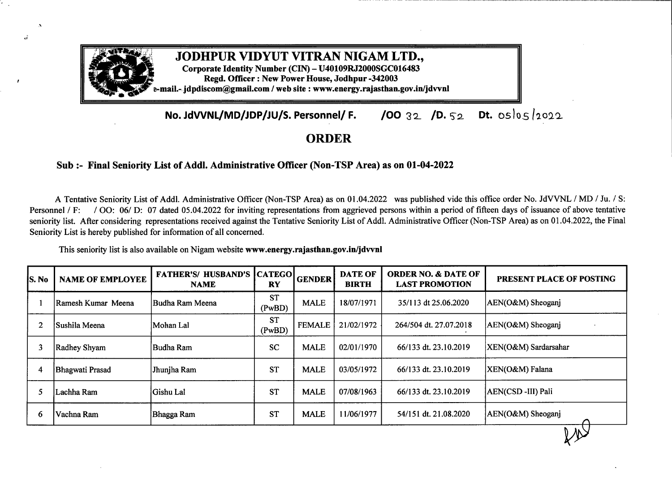

## **No. JdVVNL/MD/JDP/JU/S. Personnel/ F. /00** 32 /D. 52 Dt. oslos/2022

## **ORDER**

## **Sub:- Final Seniority List ofAddi. Administrative Officer (Non-TSP Area) as on 01-04-2022**

A Tentative Seniority List of Addl. Administrative Officer (Non-TSP Area) as on 01.04.2022 was published vide this office order No. JdVVNL / MD / Ju. / S: Personnel / F: / OO: 06/ D: 07 dated 05.04.2022 for inviting representations from aggrieved persons within a period of fifteen days of issuance of above tentative seniority list. After considering representations received against the Tentative Seniority List of Addl. Administrative Officer (Non-TSP Area) as on 01.04.2022, the Final Seniority List is hereby published for information of all concerned.

This seniority list is also available on Nigam website **www.energy.rajasthan.gov.in/jdvvnl**

| <b>S. No</b>   | <b>NAME OF EMPLOYEE</b> | <b>FATHER'S/ HUSBAND'S CATEGO</b><br><b>NAME</b> | <b>RY</b>           | <b>GENDER</b> | <b>DATE OF</b><br><b>BIRTH</b> | <b>ORDER NO. &amp; DATE OF</b><br><b>LAST PROMOTION</b> | PRESENT PLACE OF POSTING |
|----------------|-------------------------|--------------------------------------------------|---------------------|---------------|--------------------------------|---------------------------------------------------------|--------------------------|
|                | Ramesh Kumar Meena      | Budha Ram Meena                                  | <b>ST</b><br>(PwBD) | <b>MALE</b>   | 18/07/1971                     | 35/113 dt 25.06.2020                                    | AEN(O&M) Sheoganj        |
| $\overline{2}$ | Sushila Meena           | Mohan Lal                                        | <b>ST</b><br>(PwBD) | <b>FEMALE</b> | 21/02/1972                     | 264/504 dt. 27.07.2018                                  | AEN(O&M) Sheoganj        |
| 3              | Radhey Shyam            | Budha Ram                                        | <b>SC</b>           | <b>MALE</b>   | 02/01/1970                     | 66/133 dt. 23.10.2019                                   | XEN(O&M) Sardarsahar     |
| 4              | Bhagwati Prasad         | Jhunjha Ram                                      | <b>ST</b>           | <b>MALE</b>   | 03/05/1972                     | 66/133 dt. 23.10.2019                                   | XEN(O&M) Falana          |
| 5              | Lachha Ram              | Gishu Lal                                        | <b>ST</b>           | <b>MALE</b>   | 07/08/1963                     | 66/133 dt. 23.10.2019                                   | AEN(CSD-III) Pali        |
| 6              | Vachna Ram              | Bhagga Ram                                       | <b>ST</b>           | <b>MALE</b>   | 11/06/1977                     | 54/151 dt. 21.08.2020                                   | AEN(O&M) Sheoganj        |
|                |                         |                                                  |                     |               |                                |                                                         | $\mathcal{W}$            |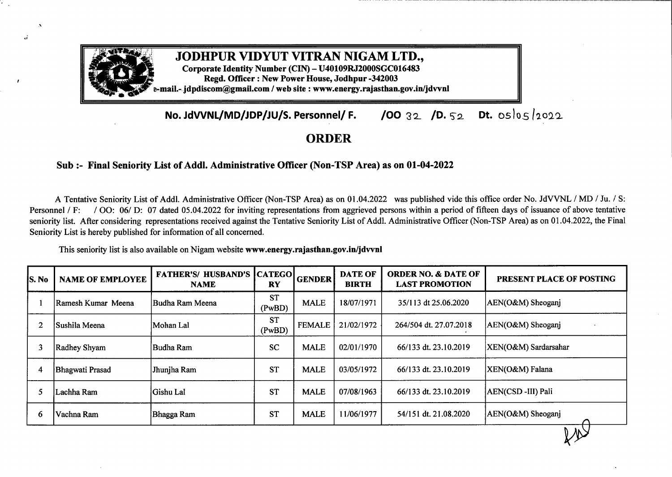| S. No           | <b>NAME OF EMPLOYEE</b> | <b>FATHER'S/ HUSBAND'S</b><br><b>NAME</b> | <b>CATEGO</b><br><b>RY</b> | <b>GENDER</b> | <b>DATE OF</b><br><b>BIRTH</b> | <b>ORDER NO. &amp; DATE OF</b><br><b>LAST PROMOTION</b> | PRESENT PLACE OF POSTING      |
|-----------------|-------------------------|-------------------------------------------|----------------------------|---------------|--------------------------------|---------------------------------------------------------|-------------------------------|
| 7               | Babu Lal                | Pama Ram                                  | <b>SC</b>                  | <b>MALE</b>   | 01/02/1969                     | 38/116 dt. 25.06.2020                                   | AEN(O&M) Bilara               |
| 8               | Shiv Lal                | Heeraji                                   | <b>SC</b><br>(PwBD)        | <b>MALE</b>   | 05/01/1967                     | 38/116 dt. 25.06.2020                                   | AO(O&M) Sirohi                |
| 9               | Babu Lal                | Maghaji                                   | <b>OBC</b>                 | <b>MALE</b>   | 04/07/1962                     | 38/116 dt. 25.06.2020                                   | AO(O&M) Jalore                |
| 10              | Hukma Ram               | Sona Ram                                  | OBC                        | <b>MALE</b>   | 02/07/1967                     | 38/116 dt. 25.06.2020                                   | AEN(O&M) Bhadarna             |
| $\overline{11}$ | Asha Ram Vyas           | B.D. Vyas                                 | <b>GEN</b>                 | <b>MALE</b>   | 15/06/1962                     | 38/116 dt. 25.06.2020                                   | XEN(BFL) Bikaner              |
| 12              | Trilok Chand            | Ram Ratan                                 | <b>GEN</b>                 | <b>MALE</b>   | 21/06/1964                     | 38/116 dt. 25.06.2020                                   | AEN(O&M) Kolayat              |
| 13              | Asha                    | Mangi Lal                                 | <b>GEN</b>                 | <b>FEMALE</b> | 19/04/1964                     | 38/116 dt. 25.06.2020                                   | AEN(CSD-A-I) Jodhpur          |
| 14              | Radhey Shyam            | Ramji Lal                                 | <b>GEN</b>                 | <b>MALE</b>   | 03/03/1966                     | 38/116 dt. 25.06.2020                                   | AEN(O&M) Srikaranpur          |
| 15              | Sita Ram Mali           | Kachawa Ram                               | <b>GEN</b>                 | <b>MALE</b>   | 25/03/1966                     | 38/116 dt. 25.06.2020                                   | AEN(M&P) Sirohi               |
| 16              | Sandeep Saran           | Kishna Ram                                | BC                         | <b>MALE</b>   | 25/08/1985                     | 38/116 dt. 25.06.2020                                   | AEN(O&M) Bajju                |
| 17              | Gagan Jasuja            | Mohan Kumar Jasuja                        | <b>GEN</b>                 | <b>MALE</b>   | 20/11/1978                     | 38/116 dt. 25.06.2020                                   | SE(O&M) Sriganganagar         |
| 18              | Shivpal Singh Shekhawat | Ghanshyam Singh                           | <b>GEN</b>                 | <b>MALE</b>   | 21/08/1988                     | 55/152 dt. 21.08.2020                                   | AEN(Rural) Nokha              |
| 19              | Manoj Kumar Saran       | T.R Saran                                 | BC                         | <b>MALE</b>   | 21/09/1987                     | 38/116 dt. 25.06.2020                                   | Secy(Admn.) Jodhpur           |
| 20              | Aasha Ram               | Mani Ram                                  | BC                         | <b>MALE</b>   | 10/02/1991                     | 38/116 dt. 25.06.2020                                   | <b>AEN(Rural)</b> Suratgarh   |
| 21              | Ashwini Dubey           | Satya Prakash Dubey                       | <b>GEN</b>                 | <b>MALE</b>   | 12/09/1987                     | 38/116 dt. 25.06.2020                                   | AEN(HTM-PC) Jodhpur           |
| 22              | Aakash Garg             | Pradeep Garg                              | <b>GEN</b>                 | <b>MALE</b>   | 07/01/1990                     | 38/116 dt. 25.06.2020                                   | AEN(O&M) Hanumangarh Junction |
| 23              | <b>Srikant Pareek</b>   | Gordhan Lal Pareek                        | <b>GEN</b>                 | <b>MALE</b>   | 05/07/1988                     | 38/116 dt. 25.06.2020                                   | AEN(O&M) Loonkaransar         |
|                 |                         |                                           |                            |               |                                |                                                         |                               |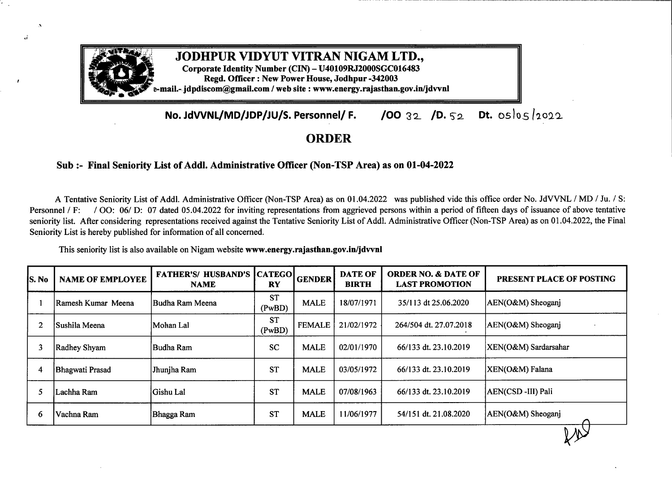| S. No | <b>NAME OF EMPLOYEE</b> | <b>FATHER'S/ HUSBAND'S</b><br><b>NAME</b> | <b>CATEGO</b><br><b>RY</b> | <b>GENDER</b> | <b>DATE OF</b><br><b>BIRTH</b> | <b>ORDER NO. &amp; DATE OF</b><br><b>LAST PROMOTION</b> | PRESENT PLACE OF POSTING  |
|-------|-------------------------|-------------------------------------------|----------------------------|---------------|--------------------------------|---------------------------------------------------------|---------------------------|
| 24    | Narsingh Lal            | Madho Lal                                 | <b>SC</b><br>(PwBD)        | <b>MALE</b>   | 16/11/1965                     | 44/127 dt. 07.07.2020                                   | AEN(O&M) Pipalia          |
| 25    | Sharvan Kumar           | Jagmal Ram                                | <b>SC</b>                  | <b>MALE</b>   | 15/02/1970                     | 44/127 dt. 07.07.2020                                   | AEN(O&M) Anoopgarh        |
| 26    | Ramesh Kumar            | Ratna Ram                                 | <b>SC</b>                  | <b>MALE</b>   | 20/09/1970                     | 44/127 dt. 07.07.2020                                   | AEN(O&M) Ramseen          |
| 27    | <b>Yusuff Ali</b>       | Rajak Khan                                | BC                         | <b>MALE</b>   | 10/09/1984                     | 44/127 dt. 07.07.2020                                   | XEN(O&M) Sadulpur         |
| 28    | Sunil Kumar             | Om Prakash                                | BC                         | <b>MALE</b>   | 02/06/1988                     | 55/152 dt. 21.08.2020                                   | AEN(O&M) Tibbi            |
| 29    | Satya Prakash           | Om Prakash                                | BC                         | <b>MALE</b>   | 11/07/1985                     | 55/152 dt. 21.08.2020                                   | XEN(Vig-DC), Jodhpur      |
| 30    | Ravindra Sandhu         | Daljeet Singh Sandhu                      | <b>GEN</b>                 | <b>MALE</b>   | 08/02/1987                     | 55/152 dt. 21.08.2020                                   | AEN(O&M) Bajju            |
| 31    | Mitali Ramdev           | Kedar Nath Ramdev                         | <b>GEN</b>                 | <b>FEMALE</b> | 05/03/1989                     | 127/284 dt 10.03.2021                                   | AEN(CSD-C-I) Jodhpur      |
| 32    | Suresh Kumar Paliwal    | Roopa Ram Paliwal                         | <b>SC</b>                  | <b>MALE</b>   | 19/05/1990                     | 127/284 dt 10.03.2021                                   | AEN(O&M) Sadri            |
| 33    | Mamta Giri              | Kishan Giri                               | BC                         | <b>FEMALE</b> | 20/05/1991                     | 128/285 dt 10.03.2021                                   | PO(O&M), Hanumangargh     |
| 34    | Dheeraj Kumar Sharma    | Dinesh Kumar Sharma                       | <b>GEN</b>                 | <b>MALE</b>   | 19/08/1987                     | 128/285 dt 10.03.2021                                   | SE (O&M) Churu            |
| 35    | Manish Kumar            | HariSingh Panwar                          | BC                         | <b>MALE</b>   | 02/03/1988                     | 40/121 dt. 26/07/2021                                   | AEN(CSD-C-II) Jodhpur     |
| 36    | Jhanwar Lal Suthar      | Pappu Ram Suthar                          | BC                         | <b>MALE</b>   | 04/01/1989                     | 40/121 dt. 26/07/2021                                   | <b>XEN(Civil) Bikaner</b> |
| 37    | Kamal Kishor Swami      | Kailash Chandra Swami                     | BC                         | <b>MALE</b>   | 03/04/1987                     | 40/121 dt. 26/07/2021                                   | AEN(Vig), Bikaner         |
| 38    | Anuja Aggarwal          | Mohd Aarif Khan                           | <b>GEN</b>                 | <b>FEMALE</b> | 25/01/1983                     | 40/121 dt. 26/07/2021                                   | AEN(CSD-D-III) Jodhpur    |
| 39    | Dimple Sharma           | Suresh Narayan Sharma                     | <b>GEN</b>                 | <b>FEMALE</b> | 02/09/1986                     | 40/121 dt. 26/07/2021                                   | AEN(O&M) Sujangarh        |
| 40    | Saroj Bishnoi           | L R Bishnoi                               | BC                         | <b>FEMALE</b> | 05/02/1987                     | 43/138 dt. 01/08/2021                                   | AEN(CSD-C-II) Jodhpur     |
|       |                         |                                           |                            |               |                                |                                                         |                           |

 $\hat{\mathbf{A}}$